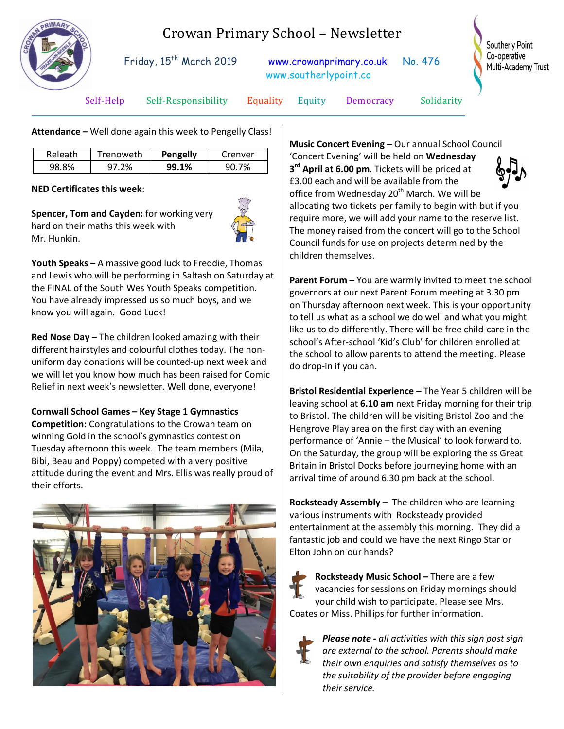

## Crowan Primary School – Newsletter

Friday, 15<sup>th</sup> March 2019 [www.crowanprimary.co.uk](http://www.crowanprimary.co.uk/) No. 476 www.southerlypoint.co

Southerly Point Co-operative Multi-Academy Trust

Self-Help Self-Responsibility Equality Equity Democracy Solidarity

**Attendance –** Well done again this week to Pengelly Class!

| Releath | Trenoweth | <b>Pengelly</b> | Crenver |
|---------|-----------|-----------------|---------|
| 98.8%   | 2%        | 99.1%           | 90.7%   |

**NED Certificates this week**:

**Spencer, Tom and Cayden:** for working very hard on their maths this week with Mr. Hunkin.



**Youth Speaks –** A massive good luck to Freddie, Thomas and Lewis who will be performing in Saltash on Saturday at the FINAL of the South Wes Youth Speaks competition. You have already impressed us so much boys, and we know you will again. Good Luck!

**Red Nose Day –** The children looked amazing with their different hairstyles and colourful clothes today. The nonuniform day donations will be counted-up next week and we will let you know how much has been raised for Comic Relief in next week's newsletter. Well done, everyone!

## **Cornwall School Games – Key Stage 1 Gymnastics**

**Competition:** Congratulations to the Crowan team on winning Gold in the school's gymnastics contest on Tuesday afternoon this week. The team members (Mila, Bibi, Beau and Poppy) competed with a very positive attitude during the event and Mrs. Ellis was really proud of their efforts.



**Music Concert Evening –** Our annual School Council 'Concert Evening' will be held on **Wednesday 3rd April at 6.00 pm**. Tickets will be priced at £3.00 each and will be available from the office from Wednesday  $20<sup>th</sup>$  March. We will be allocating two tickets per family to begin with but if you require more, we will add your name to the reserve list. The money raised from the concert will go to the School Council funds for use on projects determined by the children themselves.

**Parent Forum –** You are warmly invited to meet the school governors at our next Parent Forum meeting at 3.30 pm on Thursday afternoon next week. This is your opportunity to tell us what as a school we do well and what you might like us to do differently. There will be free child-care in the school's After-school 'Kid's Club' for children enrolled at the school to allow parents to attend the meeting. Please do drop-in if you can.

**Bristol Residential Experience –** The Year 5 children will be leaving school at **6.10 am** next Friday morning for their trip to Bristol. The children will be visiting Bristol Zoo and the Hengrove Play area on the first day with an evening performance of 'Annie – the Musical' to look forward to. On the Saturday, the group will be exploring the ss Great Britain in Bristol Docks before journeying home with an arrival time of around 6.30 pm back at the school.

**Rocksteady Assembly –** The children who are learning various instruments with Rocksteady provided entertainment at the assembly this morning. They did a fantastic job and could we have the next Ringo Star or Elton John on our hands?

**Rocksteady Music School –** There are a few vacancies for sessions on Friday mornings should your child wish to participate. Please see Mrs. Coates or Miss. Phillips for further information.



*Please note - all activities with this sign post sign are external to the school. Parents should make their own enquiries and satisfy themselves as to the suitability of the provider before engaging their service.*